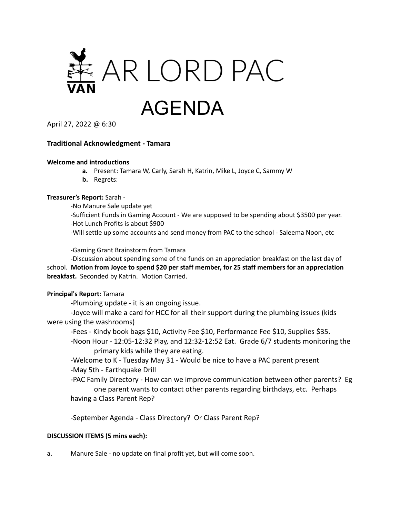

April 27, 2022 @ 6:30

## **Traditional Acknowledgment - Tamara**

#### **Welcome and introductions**

- **a.** Present: Tamara W, Carly, Sarah H, Katrin, Mike L, Joyce C, Sammy W
- **b.** Regrets:

#### **Treasurer's Report:** Sarah -

-No Manure Sale update yet

-Sufficient Funds in Gaming Account - We are supposed to be spending about \$3500 per year. -Hot Lunch Profits is about \$900

-Will settle up some accounts and send money from PAC to the school - Saleema Noon, etc

-Gaming Grant Brainstorm from Tamara

-Discussion about spending some of the funds on an appreciation breakfast on the last day of school. **Motion from Joyce to spend \$20 per staff member, for 25 staff members for an appreciation breakfast.** Seconded by Katrin. Motion Carried.

### **Principal's Report**: Tamara

-Plumbing update - it is an ongoing issue.

-Joyce will make a card for HCC for all their support during the plumbing issues (kids were using the washrooms)

-Fees - Kindy book bags \$10, Activity Fee \$10, Performance Fee \$10, Supplies \$35.

-Noon Hour - 12:05-12:32 Play, and 12:32-12:52 Eat. Grade 6/7 students monitoring the primary kids while they are eating.

-Welcome to K - Tuesday May 31 - Would be nice to have a PAC parent present -May 5th - Earthquake Drill

-PAC Family Directory - How can we improve communication between other parents? Eg one parent wants to contact other parents regarding birthdays, etc. Perhaps having a Class Parent Rep?

-September Agenda - Class Directory? Or Class Parent Rep?

### **DISCUSSION ITEMS (5 mins each):**

a. Manure Sale - no update on final profit yet, but will come soon.